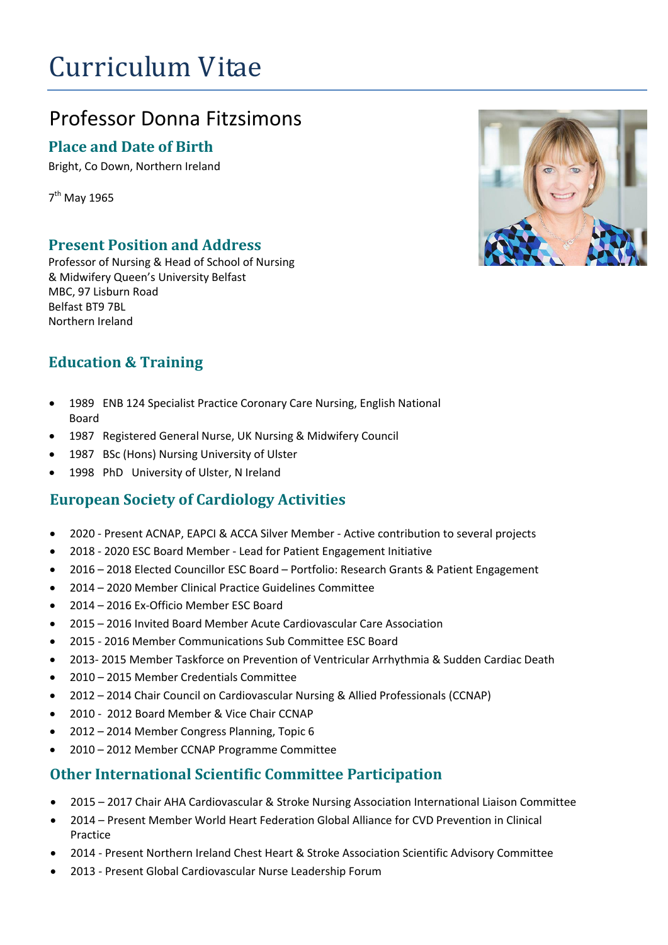# Curriculum Vitae

# Professor Donna Fitzsimons

#### **Place and Date of Birth**

Bright, Co Down, Northern Ireland

7<sup>th</sup> May 1965

#### **Present Position and Address**

Professor of Nursing & Head of School of Nursing & Midwifery Queen's University Belfast MBC, 97 Lisburn Road Belfast BT9 7BL Northern Ireland

#### **Education & Training**

- 1989 ENB 124 Specialist Practice Coronary Care Nursing, English National Board
- 1987 Registered General Nurse, UK Nursing & Midwifery Council
- 1987 BSc (Hons) Nursing University of Ulster
- 1998 PhD University of Ulster, N Ireland

#### **European Society of Cardiology Activities**

- 2020 Present ACNAP, EAPCI & ACCA Silver Member Active contribution to several projects
- 2018 2020 ESC Board Member Lead for Patient Engagement Initiative
- 2016 2018 Elected Councillor ESC Board Portfolio: Research Grants & Patient Engagement
- 2014 2020 Member Clinical Practice Guidelines Committee
- 2014 2016 Ex-Officio Member ESC Board
- 2015 2016 Invited Board Member Acute Cardiovascular Care Association
- 2015 2016 Member Communications Sub Committee ESC Board
- 2013- 2015 Member Taskforce on Prevention of Ventricular Arrhythmia & Sudden Cardiac Death
- 2010 2015 Member Credentials Committee
- 2012 2014 Chair Council on Cardiovascular Nursing & Allied Professionals (CCNAP)
- 2010 2012 Board Member & Vice Chair CCNAP
- 2012 2014 Member Congress Planning, Topic 6
- 2010 2012 Member CCNAP Programme Committee

#### **Other International Scientific Committee Participation**

- 2015 2017 Chair AHA Cardiovascular & Stroke Nursing Association International Liaison Committee
- 2014 Present Member World Heart Federation Global Alliance for CVD Prevention in Clinical Practice
- 2014 Present Northern Ireland Chest Heart & Stroke Association Scientific Advisory Committee
- 2013 Present Global Cardiovascular Nurse Leadership Forum

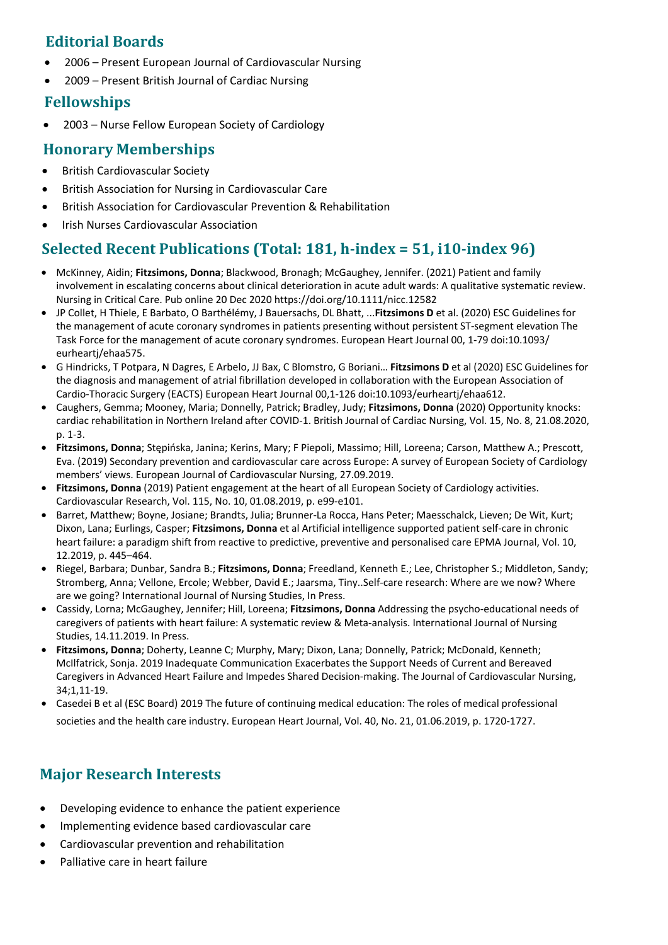#### **Editorial Boards**

- 2006 Present European Journal of Cardiovascular Nursing
- 2009 Present British Journal of Cardiac Nursing

#### **Fellowships**

2003 – Nurse Fellow European Society of Cardiology

#### **Honorary Memberships**

- British Cardiovascular Society
- British Association for Nursing in Cardiovascular Care
- British Association for Cardiovascular Prevention & Rehabilitation
- Irish Nurses Cardiovascular Association

### **Selected Recent Publications (Total: 181, h-index = 51, i10-index 96)**

- McKinney, Aidin; **Fitzsimons, Donna**; Blackwood, Bronagh; McGaughey, Jennifer. (2021) Patient and family involvement in escalating concerns about clinical deterioration in acute adult wards: A qualitative systematic review. Nursing in Critical Care. Pub online 20 Dec 2020 https://doi.org/10.1111/nicc.12582
- JP Collet, H Thiele, E Barbato, O Barthélémy, J Bauersachs, DL Bhatt, ...**Fitzsimons D** et al. (2020) ESC Guidelines for the management of acute coronary syndromes in patients presenting without persistent ST-segment elevation The Task Force for the management of acute coronary syndromes. European Heart Journal 00, 1-79 doi:10.1093/ eurheartj/ehaa575.
- G Hindricks, T Potpara, N Dagres, E Arbelo, JJ Bax, C Blomstro, G Boriani… **Fitzsimons D** et al (2020) ESC Guidelines for the diagnosis and management of atrial fibrillation developed in collaboration with the European Association of Cardio-Thoracic Surgery (EACTS) European Heart Journal 00,1-126 doi:10.1093/eurheartj/ehaa612.
- Caughers, Gemma; Mooney, Maria; Donnelly, Patrick; Bradley, Judy; **Fitzsimons, Donna** (2020) Opportunity knocks: cardiac rehabilitation in Northern Ireland after COVID-1. British Journal of Cardiac Nursing, Vol. 15, No. 8, 21.08.2020, p. 1-3.
- **Fitzsimons, Donna**; Stępińska, Janina; Kerins, Mary; F Piepoli, Massimo; Hill, Loreena; Carson, Matthew A.; Prescott, Eva. (2019) Secondary prevention and cardiovascular care across Europe: A survey of European Society of Cardiology members' views. European Journal of Cardiovascular Nursing, 27.09.2019.
- **Fitzsimons, Donna** (2019) Patient engagement at the heart of all European Society of Cardiology activities. Cardiovascular Research, Vol. 115, No. 10, 01.08.2019, p. e99-e101.
- Barret, Matthew; Boyne, Josiane; Brandts, Julia; Brunner-La Rocca, Hans Peter; Maesschalck, Lieven; De Wit, Kurt; Dixon, Lana; Eurlings, Casper; **Fitzsimons, Donna** et al Artificial intelligence supported patient self-care in chronic heart failure: a paradigm shift from reactive to predictive, preventive and personalised care EPMA Journal, Vol. 10, 12.2019, p. 445–464.
- Riegel, Barbara; Dunbar, Sandra B.; **Fitzsimons, Donna**; Freedland, Kenneth E.; Lee, Christopher S.; Middleton, Sandy; Stromberg, Anna; Vellone, Ercole; Webber, David E.; Jaarsma, Tiny..Self-care research: Where are we now? Where are we going? International Journal of Nursing Studies, In Press.
- Cassidy, Lorna; McGaughey, Jennifer; Hill, Loreena; **Fitzsimons, Donna** Addressing the psycho-educational needs of caregivers of patients with heart failure: A systematic review & Meta-analysis. International Journal of Nursing Studies, 14.11.2019. In Press.
- **Fitzsimons, Donna**; Doherty, Leanne C; Murphy, Mary; Dixon, Lana; Donnelly, Patrick; McDonald, Kenneth; McIlfatrick, Sonja. 2019 Inadequate Communication Exacerbates the Support Needs of Current and Bereaved Caregivers in Advanced Heart Failure and Impedes [Shared Decision-making. The Journal of Cardiovascular Nursing,](http://pure.qub.ac.uk/portal/en/publications/challenges-in-secondary-prevention-after-acute-myocardial-infarction-a-call-for-action(7d7f0688-933d-45b4-bce9-1452d8fa8f35).html) 34;1,11-19.
- [Casedei B et al \(ESC Board\)](http://pure.qub.ac.uk/portal/en/publications/challenges-in-secondary-prevention-after-acute-myocardial-infarction-a-call-for-action(7d7f0688-933d-45b4-bce9-1452d8fa8f35).html) [2019 The future of continuing medical education](http://pure.qub.ac.uk/portal/en/journals/european-journal-of-preventive-cardiology(afa3faeb-6930-4cf1-bc5a-3d7503e14166).html): The roles of medical professional societies and the health care industry. European Heart Journal, Vol. 40, No. 21, 01.0[6.2019, p. 1720-1727.](http://pure.qub.ac.uk/portal/en/publications/illness-perception-in-patients-with-coronary-artery-disease-a-systematic-review(7a713b9e-8d83-40c0-8984-59f3f9e4b82b).html)

## **[Major Research Interest](http://pure.qub.ac.uk/portal/en/publications/implantable-cardioverter-defibrillator-icd-deactivation-discussions-reality-versus-recommendations(f24c598d-0477-433d-ac6e-cd0de698559b).html)s**

- Developing evidence to enhance the patient experience
- [Implementing evidenc](http://pure.qub.ac.uk/portal/en/journals/european-journal-of-cardiovascular-nursing(32162c15-2783-40d6-ba01-41d7285a7340).html)e based cardiovascular care
- Cardiovascular prevention and rehabilitation
- [Palliative care](http://pure.qub.ac.uk/portal/en/publications/carers-needs-in-advanced-heart-failure-a-systematic-narrative-review(709715c8-0f80-4a4a-a5ae-96d85beb0a16).html) [in heart failure](http://pure.qub.ac.uk/portal/en/journals/european-journal-of-cardiovascular-nursing(32162c15-2783-40d6-ba01-41d7285a7340).html)